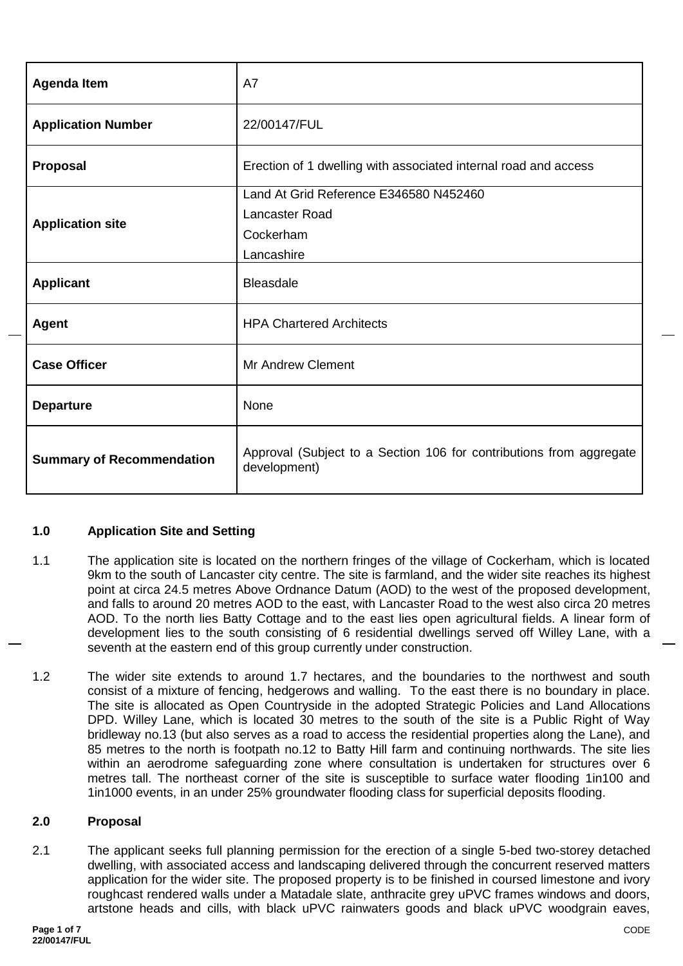| <b>Agenda Item</b>               | A7                                                                                  |  |  |
|----------------------------------|-------------------------------------------------------------------------------------|--|--|
| <b>Application Number</b>        | 22/00147/FUL                                                                        |  |  |
| Proposal                         | Erection of 1 dwelling with associated internal road and access                     |  |  |
|                                  | Land At Grid Reference E346580 N452460                                              |  |  |
|                                  | Lancaster Road                                                                      |  |  |
| <b>Application site</b>          | Cockerham                                                                           |  |  |
|                                  | Lancashire                                                                          |  |  |
| <b>Applicant</b>                 | <b>Bleasdale</b>                                                                    |  |  |
| <b>Agent</b>                     | <b>HPA Chartered Architects</b>                                                     |  |  |
| <b>Case Officer</b>              | <b>Mr Andrew Clement</b>                                                            |  |  |
| <b>Departure</b>                 | None                                                                                |  |  |
| <b>Summary of Recommendation</b> | Approval (Subject to a Section 106 for contributions from aggregate<br>development) |  |  |

## **1.0 Application Site and Setting**

- 1.1 The application site is located on the northern fringes of the village of Cockerham, which is located 9km to the south of Lancaster city centre. The site is farmland, and the wider site reaches its highest point at circa 24.5 metres Above Ordnance Datum (AOD) to the west of the proposed development, and falls to around 20 metres AOD to the east, with Lancaster Road to the west also circa 20 metres AOD. To the north lies Batty Cottage and to the east lies open agricultural fields. A linear form of development lies to the south consisting of 6 residential dwellings served off Willey Lane, with a seventh at the eastern end of this group currently under construction.
- 1.2 The wider site extends to around 1.7 hectares, and the boundaries to the northwest and south consist of a mixture of fencing, hedgerows and walling. To the east there is no boundary in place. The site is allocated as Open Countryside in the adopted Strategic Policies and Land Allocations DPD. Willey Lane, which is located 30 metres to the south of the site is a Public Right of Way bridleway no.13 (but also serves as a road to access the residential properties along the Lane), and 85 metres to the north is footpath no.12 to Batty Hill farm and continuing northwards. The site lies within an aerodrome safeguarding zone where consultation is undertaken for structures over 6 metres tall. The northeast corner of the site is susceptible to surface water flooding 1in100 and 1in1000 events, in an under 25% groundwater flooding class for superficial deposits flooding.

## **2.0 Proposal**

2.1 The applicant seeks full planning permission for the erection of a single 5-bed two-storey detached dwelling, with associated access and landscaping delivered through the concurrent reserved matters application for the wider site. The proposed property is to be finished in coursed limestone and ivory roughcast rendered walls under a Matadale slate, anthracite grey uPVC frames windows and doors, artstone heads and cills, with black uPVC rainwaters goods and black uPVC woodgrain eaves,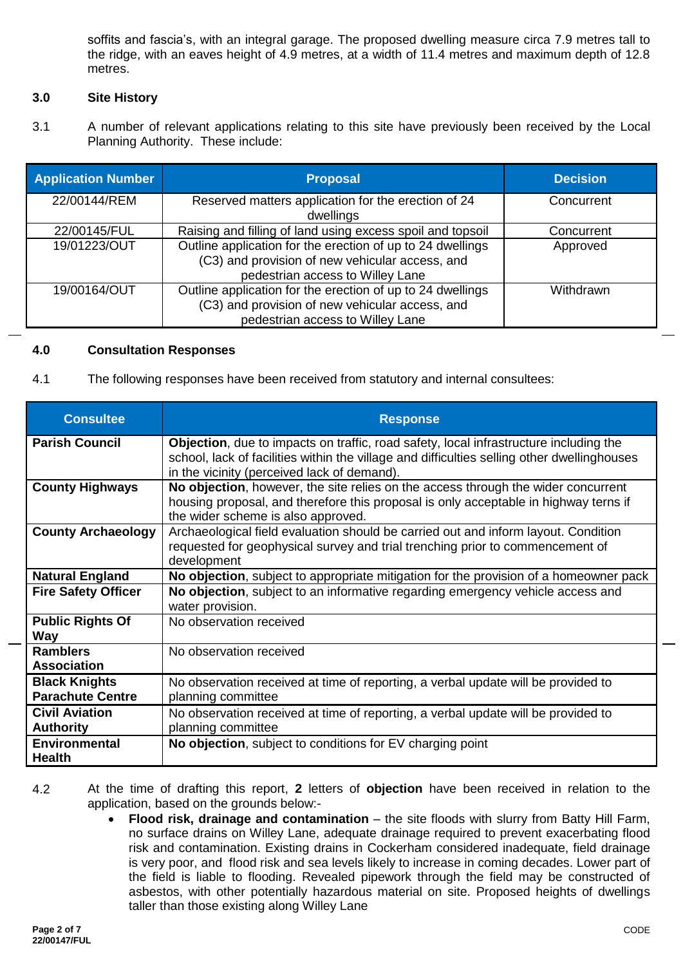soffits and fascia's, with an integral garage. The proposed dwelling measure circa 7.9 metres tall to the ridge, with an eaves height of 4.9 metres, at a width of 11.4 metres and maximum depth of 12.8 metres.

# **3.0 Site History**

3.1 A number of relevant applications relating to this site have previously been received by the Local Planning Authority. These include:

| <b>Application Number</b> | <b>Proposal</b>                                                                                                                                   | <b>Decision</b> |
|---------------------------|---------------------------------------------------------------------------------------------------------------------------------------------------|-----------------|
| 22/00144/REM              | Reserved matters application for the erection of 24<br>dwellings                                                                                  | Concurrent      |
| 22/00145/FUL              | Raising and filling of land using excess spoil and topsoil                                                                                        | Concurrent      |
| 19/01223/OUT              | Outline application for the erection of up to 24 dwellings<br>(C3) and provision of new vehicular access, and<br>pedestrian access to Willey Lane | Approved        |
| 19/00164/OUT              | Outline application for the erection of up to 24 dwellings<br>(C3) and provision of new vehicular access, and<br>pedestrian access to Willey Lane | Withdrawn       |

## **4.0 Consultation Responses**

4.1 The following responses have been received from statutory and internal consultees:

| <b>Consultee</b>                                | <b>Response</b>                                                                                                                                                                                                                     |
|-------------------------------------------------|-------------------------------------------------------------------------------------------------------------------------------------------------------------------------------------------------------------------------------------|
| <b>Parish Council</b>                           | Objection, due to impacts on traffic, road safety, local infrastructure including the<br>school, lack of facilities within the village and difficulties selling other dwellinghouses<br>in the vicinity (perceived lack of demand). |
| <b>County Highways</b>                          | No objection, however, the site relies on the access through the wider concurrent<br>housing proposal, and therefore this proposal is only acceptable in highway terns if<br>the wider scheme is also approved.                     |
| <b>County Archaeology</b>                       | Archaeological field evaluation should be carried out and inform layout. Condition<br>requested for geophysical survey and trial trenching prior to commencement of<br>development                                                  |
| <b>Natural England</b>                          | No objection, subject to appropriate mitigation for the provision of a homeowner pack                                                                                                                                               |
| <b>Fire Safety Officer</b>                      | No objection, subject to an informative regarding emergency vehicle access and<br>water provision.                                                                                                                                  |
| <b>Public Rights Of</b><br><b>Way</b>           | No observation received                                                                                                                                                                                                             |
| <b>Ramblers</b><br><b>Association</b>           | No observation received                                                                                                                                                                                                             |
| <b>Black Knights</b><br><b>Parachute Centre</b> | No observation received at time of reporting, a verbal update will be provided to<br>planning committee                                                                                                                             |
| <b>Civil Aviation</b><br><b>Authority</b>       | No observation received at time of reporting, a verbal update will be provided to<br>planning committee                                                                                                                             |
| <b>Environmental</b><br><b>Health</b>           | No objection, subject to conditions for EV charging point                                                                                                                                                                           |

- 4.2 At the time of drafting this report, **2** letters of **objection** have been received in relation to the application, based on the grounds below:-
	- **Flood risk, drainage and contamination** the site floods with slurry from Batty Hill Farm, no surface drains on Willey Lane, adequate drainage required to prevent exacerbating flood risk and contamination. Existing drains in Cockerham considered inadequate, field drainage is very poor, and flood risk and sea levels likely to increase in coming decades. Lower part of the field is liable to flooding. Revealed pipework through the field may be constructed of asbestos, with other potentially hazardous material on site. Proposed heights of dwellings taller than those existing along Willey Lane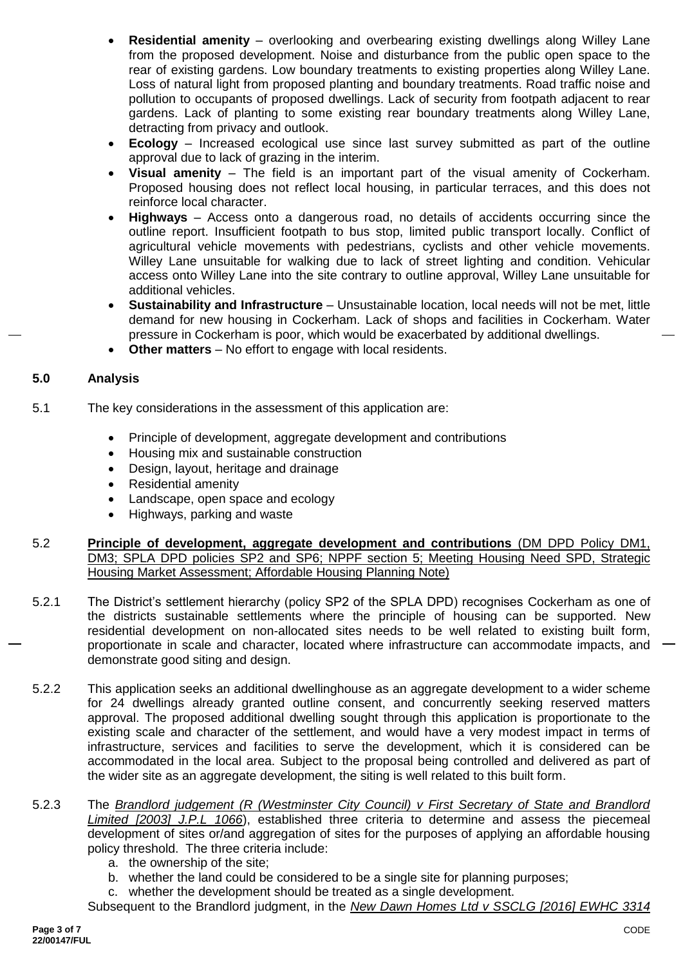- **Residential amenity** overlooking and overbearing existing dwellings along Willey Lane from the proposed development. Noise and disturbance from the public open space to the rear of existing gardens. Low boundary treatments to existing properties along Willey Lane. Loss of natural light from proposed planting and boundary treatments. Road traffic noise and pollution to occupants of proposed dwellings. Lack of security from footpath adjacent to rear gardens. Lack of planting to some existing rear boundary treatments along Willey Lane, detracting from privacy and outlook.
- **Ecology** Increased ecological use since last survey submitted as part of the outline approval due to lack of grazing in the interim.
- **Visual amenity** The field is an important part of the visual amenity of Cockerham. Proposed housing does not reflect local housing, in particular terraces, and this does not reinforce local character.
- **Highways** Access onto a dangerous road, no details of accidents occurring since the outline report. Insufficient footpath to bus stop, limited public transport locally. Conflict of agricultural vehicle movements with pedestrians, cyclists and other vehicle movements. Willey Lane unsuitable for walking due to lack of street lighting and condition. Vehicular access onto Willey Lane into the site contrary to outline approval, Willey Lane unsuitable for additional vehicles.
- **Sustainability and Infrastructure** Unsustainable location, local needs will not be met, little demand for new housing in Cockerham. Lack of shops and facilities in Cockerham. Water pressure in Cockerham is poor, which would be exacerbated by additional dwellings.
- **Other matters** No effort to engage with local residents.

# **5.0 Analysis**

- 5.1 The key considerations in the assessment of this application are:
	- Principle of development, aggregate development and contributions
	- Housing mix and sustainable construction
	- Design, layout, heritage and drainage
	- Residential amenity
	- Landscape, open space and ecology
	- Highways, parking and waste
- 5.2 **Principle of development, aggregate development and contributions** (DM DPD Policy DM1, DM3; SPLA DPD policies SP2 and SP6; NPPF section 5; Meeting Housing Need SPD, Strategic Housing Market Assessment; Affordable Housing Planning Note)
- 5.2.1 The District's settlement hierarchy (policy SP2 of the SPLA DPD) recognises Cockerham as one of the districts sustainable settlements where the principle of housing can be supported. New residential development on non-allocated sites needs to be well related to existing built form, proportionate in scale and character, located where infrastructure can accommodate impacts, and demonstrate good siting and design.
- 5.2.2 This application seeks an additional dwellinghouse as an aggregate development to a wider scheme for 24 dwellings already granted outline consent, and concurrently seeking reserved matters approval. The proposed additional dwelling sought through this application is proportionate to the existing scale and character of the settlement, and would have a very modest impact in terms of infrastructure, services and facilities to serve the development, which it is considered can be accommodated in the local area. Subject to the proposal being controlled and delivered as part of the wider site as an aggregate development, the siting is well related to this built form.
- 5.2.3 The *Brandlord judgement (R (Westminster City Council) v First Secretary of State and Brandlord Limited [2003] J.P.L 1066*), established three criteria to determine and assess the piecemeal development of sites or/and aggregation of sites for the purposes of applying an affordable housing policy threshold. The three criteria include:
	- a. the ownership of the site;
	- b. whether the land could be considered to be a single site for planning purposes;
	- c. whether the development should be treated as a single development.

Subsequent to the Brandlord judgment, in the *New Dawn Homes Ltd v SSCLG [2016] EWHC 3314*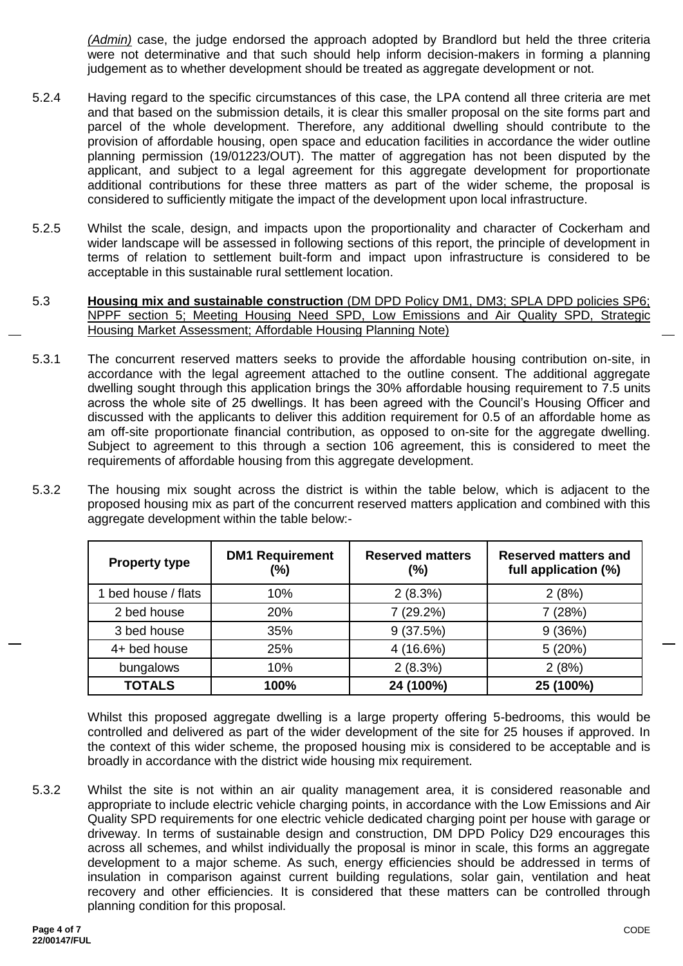*(Admin)* case, the judge endorsed the approach adopted by Brandlord but held the three criteria were not determinative and that such should help inform decision-makers in forming a planning judgement as to whether development should be treated as aggregate development or not.

- 5.2.4 Having regard to the specific circumstances of this case, the LPA contend all three criteria are met and that based on the submission details, it is clear this smaller proposal on the site forms part and parcel of the whole development. Therefore, any additional dwelling should contribute to the provision of affordable housing, open space and education facilities in accordance the wider outline planning permission (19/01223/OUT). The matter of aggregation has not been disputed by the applicant, and subject to a legal agreement for this aggregate development for proportionate additional contributions for these three matters as part of the wider scheme, the proposal is considered to sufficiently mitigate the impact of the development upon local infrastructure.
- 5.2.5 Whilst the scale, design, and impacts upon the proportionality and character of Cockerham and wider landscape will be assessed in following sections of this report, the principle of development in terms of relation to settlement built-form and impact upon infrastructure is considered to be acceptable in this sustainable rural settlement location.
- 5.3 **Housing mix and sustainable construction** (DM DPD Policy DM1, DM3; SPLA DPD policies SP6; NPPF section 5; Meeting Housing Need SPD, Low Emissions and Air Quality SPD, Strategic Housing Market Assessment; Affordable Housing Planning Note)
- 5.3.1 The concurrent reserved matters seeks to provide the affordable housing contribution on-site, in accordance with the legal agreement attached to the outline consent. The additional aggregate dwelling sought through this application brings the 30% affordable housing requirement to 7.5 units across the whole site of 25 dwellings. It has been agreed with the Council's Housing Officer and discussed with the applicants to deliver this addition requirement for 0.5 of an affordable home as am off-site proportionate financial contribution, as opposed to on-site for the aggregate dwelling. Subject to agreement to this through a section 106 agreement, this is considered to meet the requirements of affordable housing from this aggregate development.
- 5.3.2 The housing mix sought across the district is within the table below, which is adjacent to the proposed housing mix as part of the concurrent reserved matters application and combined with this aggregate development within the table below:-

| <b>Property type</b> | <b>DM1 Requirement</b><br>(%) | <b>Reserved matters</b><br>(%) | <b>Reserved matters and</b><br>full application (%) |
|----------------------|-------------------------------|--------------------------------|-----------------------------------------------------|
| 1 bed house / flats  | 10%                           | 2(8.3%)                        | 2(8%)                                               |
| 2 bed house          | 20%                           | 7 (29.2%)                      | 7(28%)                                              |
| 3 bed house          | 35%                           | 9(37.5%)                       | 9(36%)                                              |
| 4+ bed house         | 25%                           | $4(16.6\%)$                    | 5(20%)                                              |
| bungalows            | 10%                           | 2(8.3%)                        | 2(8%)                                               |
| <b>TOTALS</b>        | 100%                          | 24 (100%)                      | 25 (100%)                                           |

Whilst this proposed aggregate dwelling is a large property offering 5-bedrooms, this would be controlled and delivered as part of the wider development of the site for 25 houses if approved. In the context of this wider scheme, the proposed housing mix is considered to be acceptable and is broadly in accordance with the district wide housing mix requirement.

5.3.2 Whilst the site is not within an air quality management area, it is considered reasonable and appropriate to include electric vehicle charging points, in accordance with the Low Emissions and Air Quality SPD requirements for one electric vehicle dedicated charging point per house with garage or driveway. In terms of sustainable design and construction, DM DPD Policy D29 encourages this across all schemes, and whilst individually the proposal is minor in scale, this forms an aggregate development to a major scheme. As such, energy efficiencies should be addressed in terms of insulation in comparison against current building regulations, solar gain, ventilation and heat recovery and other efficiencies. It is considered that these matters can be controlled through planning condition for this proposal.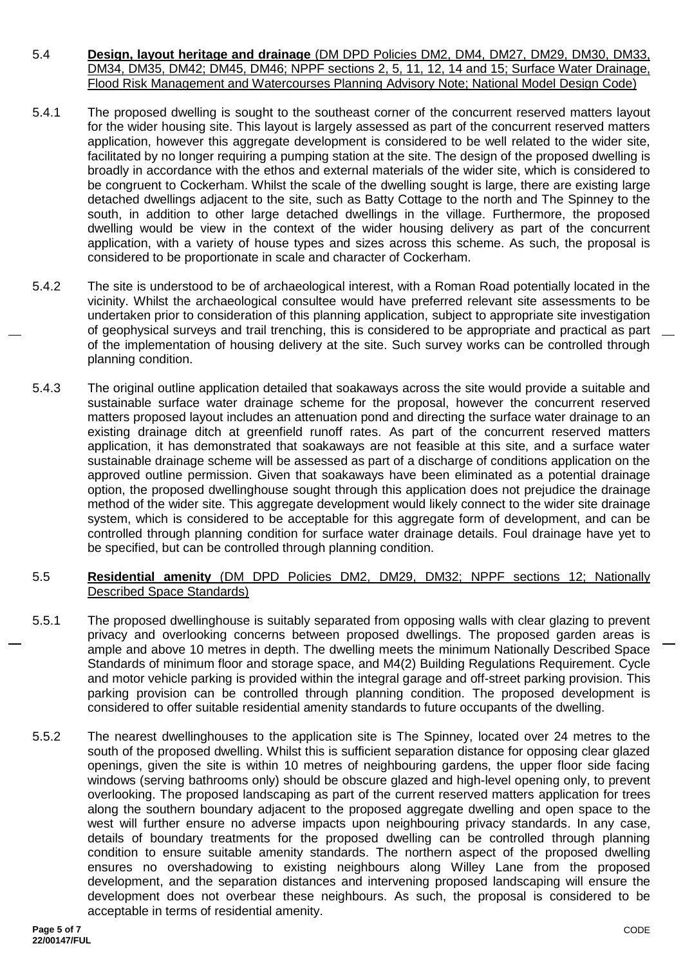- 5.4 **Design, layout heritage and drainage** (DM DPD Policies DM2, DM4, DM27, DM29, DM30, DM33, DM34, DM35, DM42; DM45, DM46; NPPF sections 2, 5, 11, 12, 14 and 15; Surface Water Drainage, Flood Risk Management and Watercourses Planning Advisory Note; National Model Design Code)
- 5.4.1 The proposed dwelling is sought to the southeast corner of the concurrent reserved matters layout for the wider housing site. This layout is largely assessed as part of the concurrent reserved matters application, however this aggregate development is considered to be well related to the wider site, facilitated by no longer requiring a pumping station at the site. The design of the proposed dwelling is broadly in accordance with the ethos and external materials of the wider site, which is considered to be congruent to Cockerham. Whilst the scale of the dwelling sought is large, there are existing large detached dwellings adjacent to the site, such as Batty Cottage to the north and The Spinney to the south, in addition to other large detached dwellings in the village. Furthermore, the proposed dwelling would be view in the context of the wider housing delivery as part of the concurrent application, with a variety of house types and sizes across this scheme. As such, the proposal is considered to be proportionate in scale and character of Cockerham.
- 5.4.2 The site is understood to be of archaeological interest, with a Roman Road potentially located in the vicinity. Whilst the archaeological consultee would have preferred relevant site assessments to be undertaken prior to consideration of this planning application, subject to appropriate site investigation of geophysical surveys and trail trenching, this is considered to be appropriate and practical as part of the implementation of housing delivery at the site. Such survey works can be controlled through planning condition.
- 5.4.3 The original outline application detailed that soakaways across the site would provide a suitable and sustainable surface water drainage scheme for the proposal, however the concurrent reserved matters proposed layout includes an attenuation pond and directing the surface water drainage to an existing drainage ditch at greenfield runoff rates. As part of the concurrent reserved matters application, it has demonstrated that soakaways are not feasible at this site, and a surface water sustainable drainage scheme will be assessed as part of a discharge of conditions application on the approved outline permission. Given that soakaways have been eliminated as a potential drainage option, the proposed dwellinghouse sought through this application does not prejudice the drainage method of the wider site. This aggregate development would likely connect to the wider site drainage system, which is considered to be acceptable for this aggregate form of development, and can be controlled through planning condition for surface water drainage details. Foul drainage have yet to be specified, but can be controlled through planning condition.

## 5.5 **Residential amenity** (DM DPD Policies DM2, DM29, DM32; NPPF sections 12; Nationally Described Space Standards)

- 5.5.1 The proposed dwellinghouse is suitably separated from opposing walls with clear glazing to prevent privacy and overlooking concerns between proposed dwellings. The proposed garden areas is ample and above 10 metres in depth. The dwelling meets the minimum Nationally Described Space Standards of minimum floor and storage space, and M4(2) Building Regulations Requirement. Cycle and motor vehicle parking is provided within the integral garage and off-street parking provision. This parking provision can be controlled through planning condition. The proposed development is considered to offer suitable residential amenity standards to future occupants of the dwelling.
- 5.5.2 The nearest dwellinghouses to the application site is The Spinney, located over 24 metres to the south of the proposed dwelling. Whilst this is sufficient separation distance for opposing clear glazed openings, given the site is within 10 metres of neighbouring gardens, the upper floor side facing windows (serving bathrooms only) should be obscure glazed and high-level opening only, to prevent overlooking. The proposed landscaping as part of the current reserved matters application for trees along the southern boundary adjacent to the proposed aggregate dwelling and open space to the west will further ensure no adverse impacts upon neighbouring privacy standards. In any case, details of boundary treatments for the proposed dwelling can be controlled through planning condition to ensure suitable amenity standards. The northern aspect of the proposed dwelling ensures no overshadowing to existing neighbours along Willey Lane from the proposed development, and the separation distances and intervening proposed landscaping will ensure the development does not overbear these neighbours. As such, the proposal is considered to be acceptable in terms of residential amenity.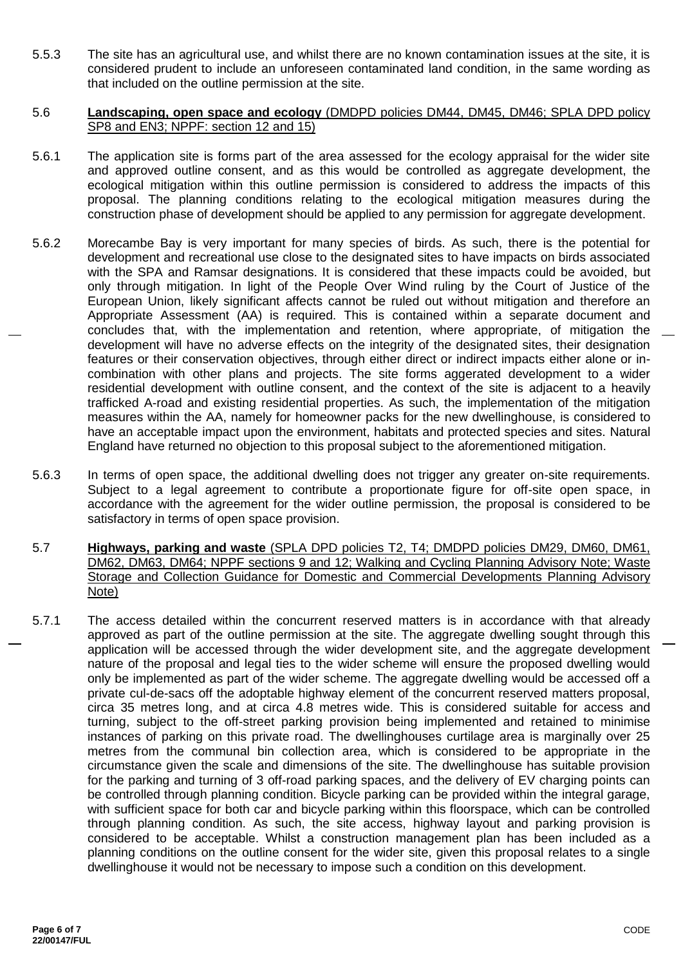5.5.3 The site has an agricultural use, and whilst there are no known contamination issues at the site, it is considered prudent to include an unforeseen contaminated land condition, in the same wording as that included on the outline permission at the site.

#### 5.6 **Landscaping, open space and ecology** (DMDPD policies DM44, DM45, DM46; SPLA DPD policy SP8 and EN3; NPPF: section 12 and 15)

- 5.6.1 The application site is forms part of the area assessed for the ecology appraisal for the wider site and approved outline consent, and as this would be controlled as aggregate development, the ecological mitigation within this outline permission is considered to address the impacts of this proposal. The planning conditions relating to the ecological mitigation measures during the construction phase of development should be applied to any permission for aggregate development.
- 5.6.2 Morecambe Bay is very important for many species of birds. As such, there is the potential for development and recreational use close to the designated sites to have impacts on birds associated with the SPA and Ramsar designations. It is considered that these impacts could be avoided, but only through mitigation. In light of the People Over Wind ruling by the Court of Justice of the European Union, likely significant affects cannot be ruled out without mitigation and therefore an Appropriate Assessment (AA) is required. This is contained within a separate document and concludes that, with the implementation and retention, where appropriate, of mitigation the development will have no adverse effects on the integrity of the designated sites, their designation features or their conservation objectives, through either direct or indirect impacts either alone or incombination with other plans and projects. The site forms aggerated development to a wider residential development with outline consent, and the context of the site is adjacent to a heavily trafficked A-road and existing residential properties. As such, the implementation of the mitigation measures within the AA, namely for homeowner packs for the new dwellinghouse, is considered to have an acceptable impact upon the environment, habitats and protected species and sites. Natural England have returned no objection to this proposal subject to the aforementioned mitigation.
- 5.6.3 In terms of open space, the additional dwelling does not trigger any greater on-site requirements. Subject to a legal agreement to contribute a proportionate figure for off-site open space, in accordance with the agreement for the wider outline permission, the proposal is considered to be satisfactory in terms of open space provision.
- 5.7 **Highways, parking and waste** (SPLA DPD policies T2, T4; DMDPD policies DM29, DM60, DM61, DM62, DM63, DM64; NPPF sections 9 and 12; Walking and Cycling Planning Advisory Note; Waste Storage and Collection Guidance for Domestic and Commercial Developments Planning Advisory Note)
- 5.7.1 The access detailed within the concurrent reserved matters is in accordance with that already approved as part of the outline permission at the site. The aggregate dwelling sought through this application will be accessed through the wider development site, and the aggregate development nature of the proposal and legal ties to the wider scheme will ensure the proposed dwelling would only be implemented as part of the wider scheme. The aggregate dwelling would be accessed off a private cul-de-sacs off the adoptable highway element of the concurrent reserved matters proposal, circa 35 metres long, and at circa 4.8 metres wide. This is considered suitable for access and turning, subject to the off-street parking provision being implemented and retained to minimise instances of parking on this private road. The dwellinghouses curtilage area is marginally over 25 metres from the communal bin collection area, which is considered to be appropriate in the circumstance given the scale and dimensions of the site. The dwellinghouse has suitable provision for the parking and turning of 3 off-road parking spaces, and the delivery of EV charging points can be controlled through planning condition. Bicycle parking can be provided within the integral garage, with sufficient space for both car and bicycle parking within this floorspace, which can be controlled through planning condition. As such, the site access, highway layout and parking provision is considered to be acceptable. Whilst a construction management plan has been included as a planning conditions on the outline consent for the wider site, given this proposal relates to a single dwellinghouse it would not be necessary to impose such a condition on this development.